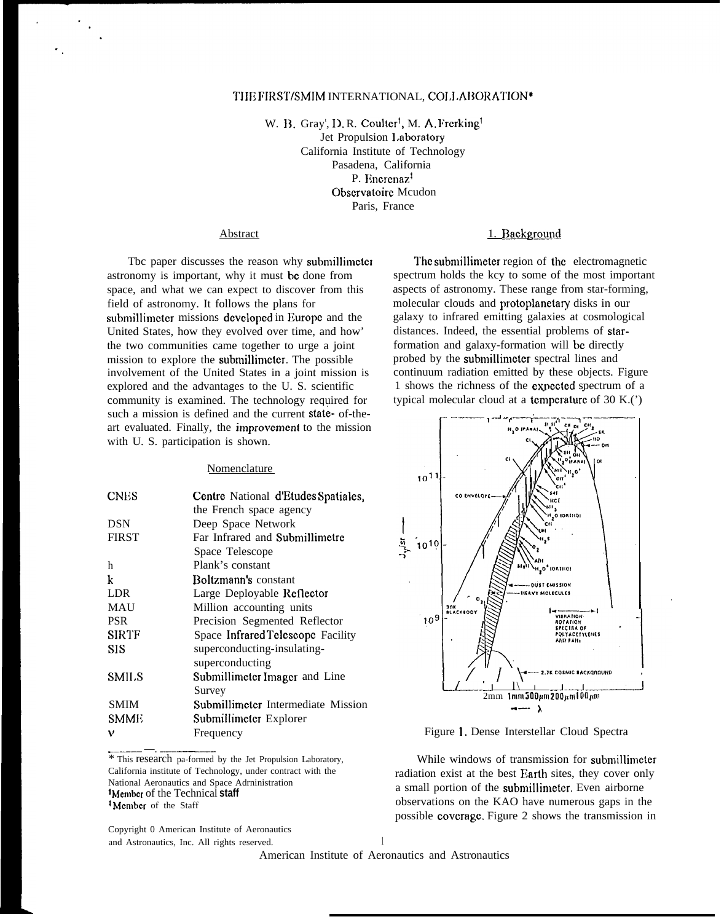# THE FIRST/SMIM INTERNATIONAL, COLLABORATION\*

W. B. Gray<sup>t</sup>, D. R. Coulter<sup>1</sup>, M. A. Frerking Jet Propulsion 1.aboratory California Institute of Technology Pasadena, California P. Encrenaz<sup>†</sup> Obscrvatoirc Mcudon Paris, France

#### **Abstract**

Tbc paper discusses the reason why submillimctcr astronomy is important, why it must bc done from space, and what we can expect to discover from this field of astronomy. It follows the plans for submillimeter missions developed in Europe and the United States, how they evolved over time, and how' the two communities came together to urge a joint mission to explore the submillimctcr. The possible involvement of the United States in a joint mission is explored and the advantages to the U. S. scientific community is examined. The technology required for such a mission is defined and the current state- of-theart evaluated. Finally, the improvement to the mission with U. S. participation is shown.

## **Nomenclature**

| <b>CNES</b>       | Centre National d'Etudes Spatiales, |
|-------------------|-------------------------------------|
|                   | the French space agency             |
| <b>DSN</b>        | Deep Space Network                  |
| <b>FIRST</b>      | Far Infrared and Submillimetre      |
|                   | Space Telescope                     |
| h                 | Plank's constant                    |
| k                 | Boltzmann's constant                |
| <b>LDR</b>        | Large Deployable Reflector          |
| <b>MAU</b>        | Million accounting units            |
| <b>PSR</b>        | Precision Segmented Reflector       |
| <b>SIRTF</b>      | Space Infrared Telescope Facility   |
| SIS               | superconducting-insulating-         |
|                   | superconducting                     |
| SMIL <sub>S</sub> | Submillimeter Imager and Line       |
|                   | Survey                              |
| <b>SMIM</b>       | Submillimeter Intermediate Mission  |
| <b>SMME</b>       | Submillimeter Explorer              |
| ν                 | Frequency                           |
|                   |                                     |

.——— —. ————- \* This research pa-formed by the Jet Propulsion Laboratory, California institute of Technology, under contract with the National Aeronautics and Space Adrninistration <sup>1</sup>Member of the Technical **staff** <sup>*t*</sup> Member of the Staff

Copyright 0 American Institute of Aeronautics and Astronautics, Inc. All rights reserved.

#### 1. Background

The submillimeter region of the electromagnetic spectrum holds the kcy to some of the most important aspects of astronomy. These range from star-forming, molecular clouds and protoplanctary disks in our galaxy to infrared emitting galaxies at cosmological distances. Indeed, the essential problems of starformation and galaxy-formation will bc directly probed by the submillimctcr spectral lines and continuum radiation emitted by these objects. Figure 1 shows the richness of the cxpcctcd spectrum of a typical molecular cloud at a temperature of 30 K.( $')$ 



Figure 1. Dense Interstellar Cloud Spectra

While windows of transmission for submillimeter radiation exist at the best Earth sites, they cover only a small portion of the submillimetcr. Even airborne observations on the KAO have numerous gaps in the possible covcragc. Figure 2 shows the transmission in

1 American Institute of Aeronautics and Astronautics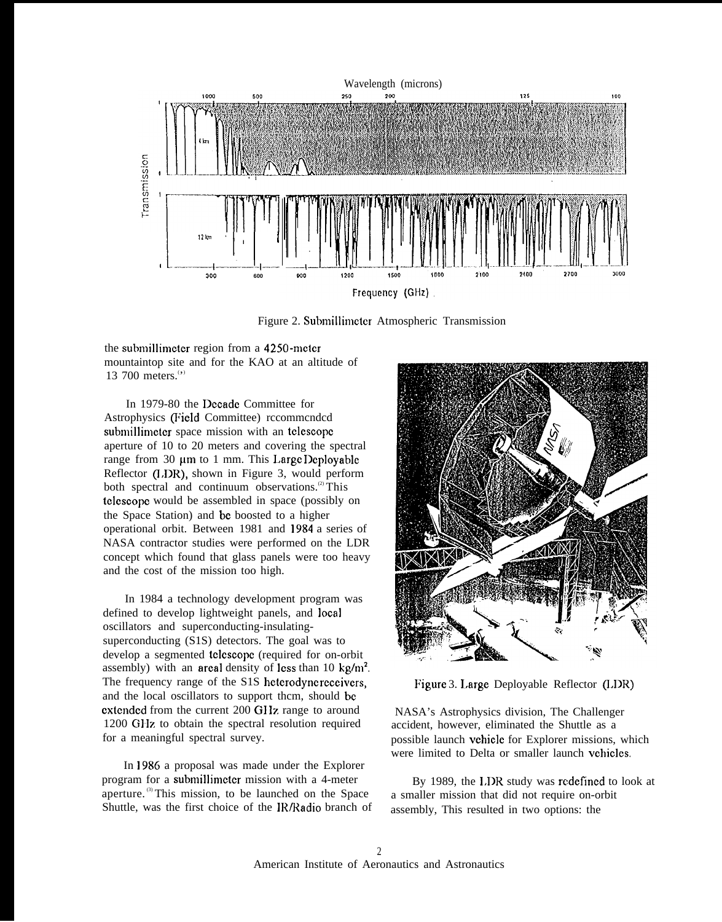

Figure 2. Submillimeter Atmospheric Transmission

the submillimeter region from a 4250-meter mountaintop site and for the KAO at an altitude of 13 700 meters.<sup>(\*)</sup>

In 1979-80 the Dccadc Committee for Astrophysics (Field Committee) rccommcndcd submillimeter space mission with an telescope aperture of 10 to 20 meters and covering the spectral range from 30  $\mu$ m to 1 mm. This Large Deployable Reflector (I,DR), shown in Figure 3, would perform both spectral and continuum observations.<sup>(2)</sup> This tclcscopc would be assembled in space (possibly on the Space Station) and bc boosted to a higher operational orbit. Between 1981 and 1984 a series of NASA contractor studies were performed on the LDR concept which found that glass panels were too heavy and the cost of the mission too high.

In 1984 a technology development program was defined to develop lightweight panels, and local oscillators and superconducting-insulatingsuperconducting (S1S) detectors. The goal was to develop a segmented tclcscopc (required for on-orbit assembly) with an areal density of less than 10 kg/m<sup>2</sup>. The frequency range of the S1S heterodyne receivers, and the local oscillators to support thcm, should bc extended from the current 200 GHz range to around 1200 GIIz to obtain the spectral resolution required for a meaningful spectral survey.

In 1986 a proposal was made under the Explorer program for a submillimctcr mission with a 4-meter aperture. (3) This mission, to be launched on the Space Shuttle, was the first choice of the IR/Radio branch of



Figure 3. Large Deployable Reflector (LDR)

NASA's Astrophysics division, The Challenger accident, however, eliminated the Shuttle as a possible launch vchiclc for Explorer missions, which were limited to Delta or smaller launch vehicles.

By 1989, the I,DR study was rcdcfincd to look at a smaller mission that did not require on-orbit assembly, This resulted in two options: the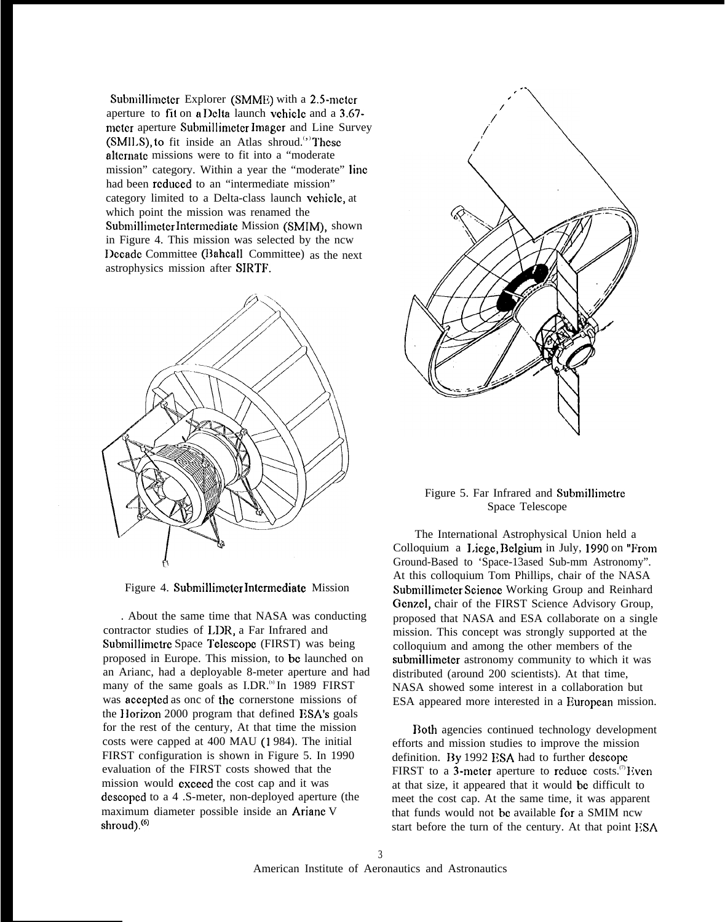Submillimeter Explorer (SMME) with a 2.5-meter aperture to fit on  $a$  Delta launch vehicle and a  $3.67$ mctcr aperture Submillimcter lmagcr and Line Survey (SMILS), to fit inside an Atlas shroud.<sup>(\*)</sup>These alternate missions were to fit into a "moderate mission" category. Within a year the "moderate" Iinc had been reduced to an "intermediate mission" category limited to a Delta-class launch vehicle, at which point the mission was renamed the Submillimeter Intermediate Mission (SMIM), shown in Figure 4. This mission was selected by the ncw Decade Committee (Bahcall Committee) as the next astrophysics mission after SIRTF.



Figure 4. Submillimcter Intcrrnediate Mission

. About the same time that NASA was conducting contractor studies of LDR, a Far Infrared and Submillimetre Space Telescope (FIRST) was being proposed in Europe. This mission, to bc launched on an Arianc, had a deployable 8-meter aperture and had many of the same goals as I.DR.<sup>(s)</sup> In 1989 FIRST was accepted as onc of the cornerstone missions of the Horizon 2000 program that defined ESA's goals for the rest of the century, At that time the mission costs were capped at 400 MAU (1 984). The initial FIRST configuration is shown in Figure 5. In 1990 evaluation of the FIRST costs showed that the mission would cxcecd the cost cap and it was dcscopcd to a 4 .S-meter, non-deployed aperture (the maximum diameter possible inside an Arianc V shroud).<sup>(6)</sup>



# Figure 5. Far Infrared and Submillimctre Space Telescope

The International Astrophysical Union held a Colloquium a Liege, Belgium in July, 1990 on "From Ground-Based to 'Space-13ased Sub-mm Astronomy". At this colloquium Tom Phillips, chair of the NASA Submillimcter Science Working Group and Reinhard Genzel, chair of the FIRST Science Advisory Group, proposed that NASA and ESA collaborate on a single mission. This concept was strongly supported at the colloquium and among the other members of the submillimeter astronomy community to which it was distributed (around 200 scientists). At that time, NASA showed some interest in a collaboration but ESA appeared more interested in a European mission.

Both agencies continued technology development efforts and mission studies to improve the mission definition. By 1992 ESA had to further descope FIRST to a 3-meter aperture to reduce costs.<sup>(7)</sup> Even at that size, it appeared that it would bc difficult to meet the cost cap. At the same time, it was apparent that funds would not be available for a SMIM ncw start before the turn of the century. At that point ESA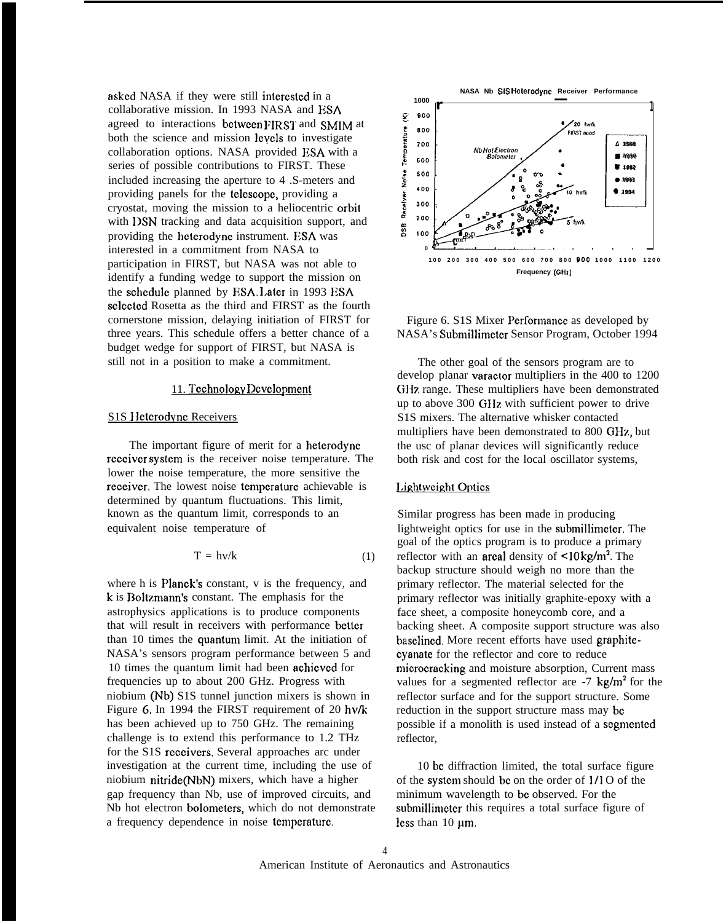asked NASA if they were still interested in a collaborative mission. In 1993 NASA and ESA agreed to interactions between FIRST and SMIM at both the science and mission levels to investigate collaboration options. NASA provided ESA with a series of possible contributions to FIRST. These included increasing the aperture to 4 .S-meters and providing panels for the telcscopc, providing a cryostat, moving the mission to a heliocentric orbit with **DSN** tracking and data acquisition support, and providing the hcterodyne instrument. ESA was interested in a commitment from NASA to participation in FIRST, but NASA was not able to identify a funding wedge to support the mission on the schedule planned by ESA. Later in 1993 ESA selcctcd Rosetta as the third and FIRST as the fourth cornerstone mission, delaying initiation of FIRST for three years. This schedule offers a better chance of a budget wedge for support of FIRST, but NASA is still not in a position to make a commitment.

# 11. Technology Development

#### S1S Heterodyne Receivers

The important figure of merit for a hetcrodyne rcccivcr systcm is the receiver noise temperature. The lower the noise temperature, the more sensitive the receiver. The lowest noise temperature achievable is determined by quantum fluctuations. This limit, known as the quantum limit, corresponds to an equivalent noise temperature of

$$
T = hv/k \tag{1}
$$

where h is **Planck's** constant, v is the frequency, and k is Boltzmann's constant. The emphasis for the astrophysics applications is to produce components that will result in receivers with performance better than 10 times the quantum limit. At the initiation of NASA's sensors program performance between 5 and 10 times the quantum limit had been achicvcd for frequencies up to about 200 GHz. Progress with niobium (Nb) S1S tunnel junction mixers is shown in Figure 6. In 1994 the FIRST requirement of 20  $h\nu/k$ has been achieved up to 750 GHz. The remaining challenge is to extend this performance to 1.2 THz for the S1S receivers. Several approaches arc under investigation at the current time, including the use of niobium nitride(NbN) mixers, which have a higher gap frequency than Nb, use of improved circuits, and Nb hot electron bolometers, which do not demonstrate a frequency dependence in noise tcmpcraturc.



Figure 6. S1S Mixer Pcrformancc as developed by NASA's Submillimctcr Sensor Program, October 1994

The other goal of the sensors program are to develop planar varactor multipliers in the 400 to 1200 GHz range. These multipliers have been demonstrated up to above 300 GIIz with sufficient power to drive S1S mixers. The alternative whisker contacted multipliers have been demonstrated to 800 GHz, but the usc of planar devices will significantly reduce both risk and cost for the local oscillator systems,

# Lightweight Optics

Similar progress has been made in producing lightweight optics for use in the submillimeter. The goal of the optics program is to produce a primary reflector with an **arcal** density of  $\leq 10 \text{ kg/m}^2$ . The backup structure should weigh no more than the primary reflector. The material selected for the primary reflector was initially graphite-epoxy with a face sheet, a composite honeycomb core, and a backing sheet. A composite support structure was also baselined. More recent efforts have used graphitecyanate for the reflector and core to reduce microcracking and moisture absorption, Current mass values for a segmented reflector are  $-7 \text{ kg/m}^2$  for the reflector surface and for the support structure. Some reduction in the support structure mass may bc possible if a monolith is used instead of a scgmcntcd reflector,

10 bc diffraction limited, the total surface figure of the systcm should bc on the order of 1/1 O of the minimum wavelength to bc observed. For the submillimeter this requires a total surface figure of less than  $10 \mu m$ .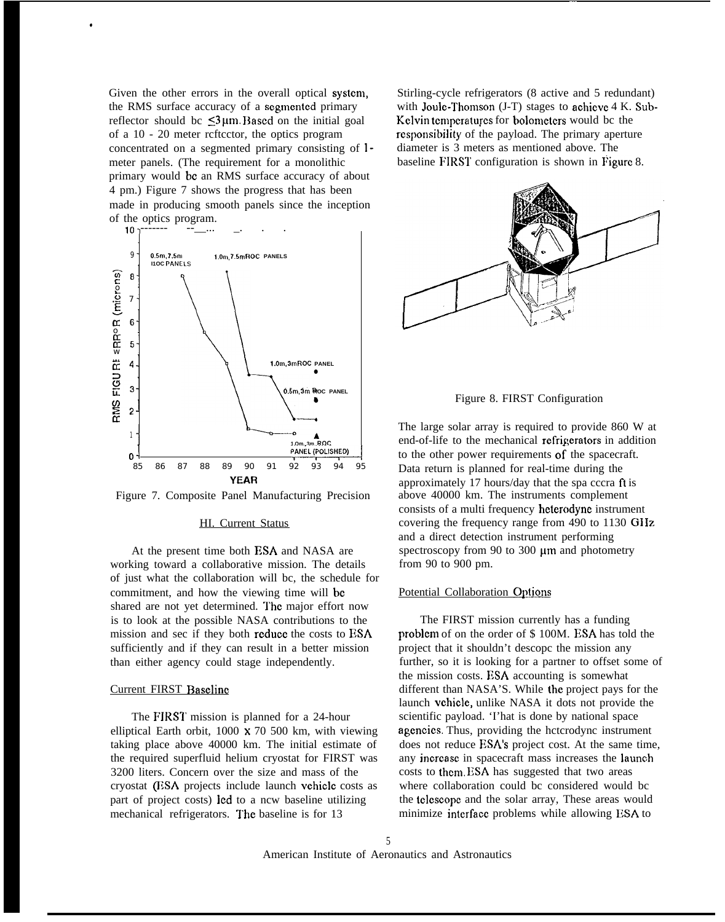Given the other errors in the overall optical system, the RMS surface accuracy of a segmented primary reflector should bc  $\leq 3 \mu m$ . Based on the initial goal of a 10 - 20 meter rcftcctor, the optics program concentrated on a segmented primary consisting of 1 meter panels. (The requirement for a monolithic primary would bc an RMS surface accuracy of about 4 pm.) Figure 7 shows the progress that has been made in producing smooth panels since the inception of the optics program.

,



Figure 7. Composite Panel Manufacturing Precision

#### HI. Current Status

At the present time both ESA and NASA are working toward a collaborative mission. The details of just what the collaboration will bc, the schedule for commitment, and how the viewing time will bc shared are not yet determined. The major effort now is to look at the possible NASA contributions to the mission and sec if they both reduce the costs to ESA sufficiently and if they can result in a better mission than either agency could stage independently.

## Current FIRST Baseline

The FIRST mission is planned for a 24-hour elliptical Earth orbit, 1000 x 70 500 km, with viewing taking place above 40000 km. The initial estimate of the required superfluid helium cryostat for FIRST was 3200 liters. Concern over the size and mass of the cryostat (ESA projects include launch vchiclc costs as part of project costs) led to a ncw baseline utilizing mechanical refrigerators. The baseline is for 13

Stirling-cycle refrigerators (8 active and 5 redundant) with Joule-Thomson  $(J-T)$  stages to achieve  $4 K$ . Sub-Kelvin temperatures for bolometers would be the responsibility of the payload. The primary aperture diameter is 3 meters as mentioned above. The baseline FIRST configuration is shown in Figure 8.





The large solar array is required to provide 860 W at end-of-life to the mechanical refrigerators in addition to the other power requirements of the spacecraft. Data return is planned for real-time during the approximately 17 hours/day that the spa cccra ft is above 40000 km. The instruments complement consists of a multi frequency heterodyne instrument covering the frequency range from 490 to 1130 GHz and a direct detection instrument performing spectroscopy from 90 to 300  $\mu$ m and photometry from 90 to 900 pm.

### Potential Collaboration Options

The FIRST mission currently has a funding problcm of on the order of \$ 100M. ESA has told the project that it shouldn't descopc the mission any further, so it is looking for a partner to offset some of the mission costs. ESA accounting is somewhat different than NASA'S. While the project pays for the launch vchiclc, unlike NASA it dots not provide the scientific payload. 'I'hat is done by national space agcncics. Thus, providing the hctcrodync instrument does not reduce ESA's project cost. At the same time, any incrcasc in spacecraft mass increases the launch costs to thcm. ESA has suggested that two areas where collaboration could bc considered would bc the tclcscopc and the solar array, These areas would minimize interface problems while allowing ESA to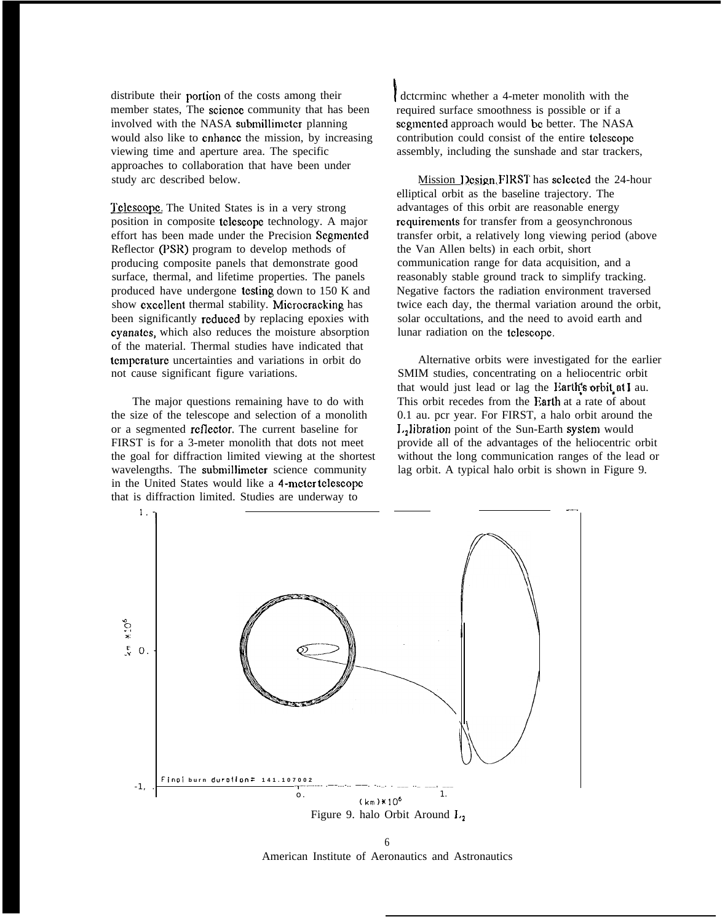distribute their portion of the costs among their member states. The science community that has been involved with the NASA submillimeter planning would also like to cnhancc the mission, by increasing viewing time and aperture area. The specific approaches to collaboration that have been under study arc described below.

Telescope. The United States is in a very strong position in composite telescope technology. A major effort has been made under the Precision Scgmcntcd Reflector (PSR) program to develop methods of producing composite panels that demonstrate good surface, thermal, and lifetime properties. The panels produced have undergone testing down to 150 K and show excellent thermal stability. Microcracking has been significantly **reduced** by replacing epoxies with cyanatcs, which also reduces the moisture absorption of the material. Thermal studies have indicated that tcmpcraturc uncertainties and variations in orbit do not cause significant figure variations.

The major questions remaining have to do with the size of the telescope and selection of a monolith or a segmented **reflector**. The current baseline for FIRST is for a 3-meter monolith that dots not meet the goal for diffraction limited viewing at the shortest wavelengths. The submillimcter science community in the United States would like a 4-meter telescope that is diffraction limited. Studies are underway to

**<sup>I</sup>** dctcrminc whether a 4-meter monolith with the required surface smoothness is possible or if a segmented approach would be better. The NASA contribution could consist of the entire tclcscopc assembly, including the sunshade and star trackers,

Mission Design. FIRST has selected the 24-hour elliptical orbit as the baseline trajectory. The advantages of this orbit are reasonable energy requirements for transfer from a geosynchronous transfer orbit, a relatively long viewing period (above the Van Allen belts) in each orbit, short communication range for data acquisition, and a reasonably stable ground track to simplify tracking. Negative factors the radiation environment traversed twice each day, the thermal variation around the orbit, solar occultations, and the need to avoid earth and lunar radiation on the telescope.

Alternative orbits were investigated for the earlier SMIM studies, concentrating on a heliocentric orbit that would just lead or lag the Earth's orbit at I au. This orbit recedes from the Earth at a rate of about 0.1 au. pcr year. For FIRST, a halo orbit around the L<sub>2</sub>libration point of the Sun-Earth system would provide all of the advantages of the heliocentric orbit without the long communication ranges of the lead or lag orbit. A typical halo orbit is shown in Figure 9.



6 American Institute of Aeronautics and Astronautics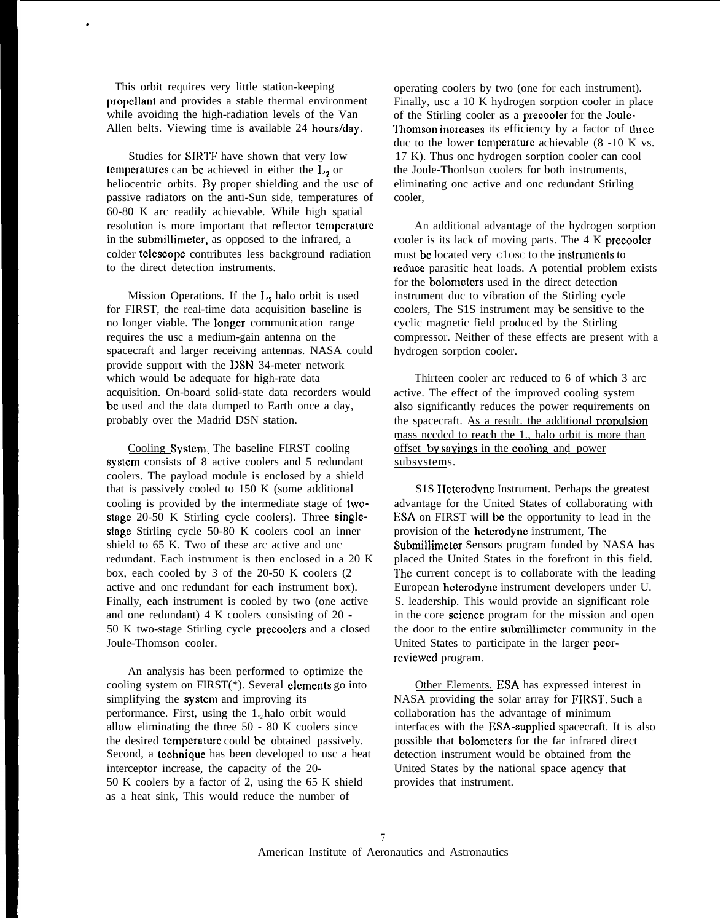This orbit requires very little station-keeping propellant and provides a stable thermal environment while avoiding the high-radiation levels of the Van Allen belts. Viewing time is available 24 hours/day.

\*

Studies for SIRTF have shown that very low temperatures can be achieved in either the  $L<sub>2</sub>$  or heliocentric orbits. By proper shielding and the usc of passive radiators on the anti-Sun side, temperatures of 60-80 K arc readily achievable. While high spatial resolution is more important that reflector tcmpcraturc in the submillimeter, as opposed to the infrared, a colder tclcscopc contributes less background radiation to the direct detection instruments.

Mission Operations. If the  $L<sub>2</sub>$  halo orbit is used for FIRST, the real-time data acquisition baseline is no longer viable. The Iongcr communication range requires the usc a medium-gain antenna on the spacecraft and larger receiving antennas. NASA could provide support with the DSN 34-meter network which would be adequate for high-rate data acquisition. On-board solid-state data recorders would bc used and the data dumped to Earth once a day, probably over the Madrid DSN station.

Cooling Svstcm. The baseline FIRST cooling system consists of 8 active coolers and 5 redundant coolers. The payload module is enclosed by a shield that is passively cooled to 150 K (some additional cooling is provided by the intermediate stage of twostagc 20-50 K Stirling cycle coolers). Three singlcstage Stirling cycle 50-80 K coolers cool an inner shield to 65 K. Two of these arc active and onc redundant. Each instrument is then enclosed in a 20 K box, each cooled by 3 of the 20-50 K coolers (2 active and onc redundant for each instrument box). Finally, each instrument is cooled by two (one active and one redundant) 4 K coolers consisting of 20 - 50 K two-stage Stirling cycle precoolcrs and a closed Joule-Thomson cooler.

An analysis has been performed to optimize the cooling system on  $FIRST(*)$ . Several **clements** go into simplifying the system and improving its performance. First, using the 1, halo orbit would allow eliminating the three 50 - 80 K coolers since the desired tcmpcraturc could bc obtained passively. Second, a tcchniquc has been developed to usc a heat interceptor increase, the capacity of the 20- 50 K coolers by a factor of 2, using the 65 K shield as a heat sink, This would reduce the number of

operating coolers by two (one for each instrument). Finally, usc a 10 K hydrogen sorption cooler in place of the Stirling cooler as a precoolcr for the Joulc- Thomson increases its efficiency by a factor of three. duc to the lower temperature achievable  $(8 -10)$  K vs. 17 K). Thus onc hydrogen sorption cooler can cool the Joule-Thonlson coolers for both instruments, eliminating onc active and onc redundant Stirling cooler,

An additional advantage of the hydrogen sorption cooler is its lack of moving parts. The 4 K precooler must be located very close to the instruments to reduce parasitic heat loads. A potential problem exists for the bolorncters used in the direct detection instrument duc to vibration of the Stirling cycle coolers, The S1S instrument may bc sensitive to the cyclic magnetic field produced by the Stirling compressor. Neither of these effects are present with a hydrogen sorption cooler.

Thirteen cooler arc reduced to 6 of which 3 arc active. The effect of the improved cooling system also significantly reduces the power requirements on the spacecraft. As a result, the additional propulsion mass nccdcd to reach the 1., halo orbit is more than offset by savings in the cooling and power subsystems.

S1S Heterodyne Instrument. Perhaps the greatest advantage for the United States of collaborating with ESA on FIRST will be the opportunity to lead in the provision of the hetcrodyne instrument, The Submillimcter Sensors program funded by NASA has placed the United States in the forefront in this field. The current concept is to collaborate with the leading European hcterodync instrument developers under U. S. leadership. This would provide an significant role in the core scicncc program for the mission and open the door to the entire submillimeter community in the United States to participate in the larger pccrrcvicwed program.

Other Elements. ESA has expressed interest in NASA providing the solar array for FIRST. Such a collaboration has the advantage of minimum interfaces with the ESA-supplied spacecraft. It is also possible that bolometcrs for the far infrared direct detection instrument would be obtained from the United States by the national space agency that provides that instrument.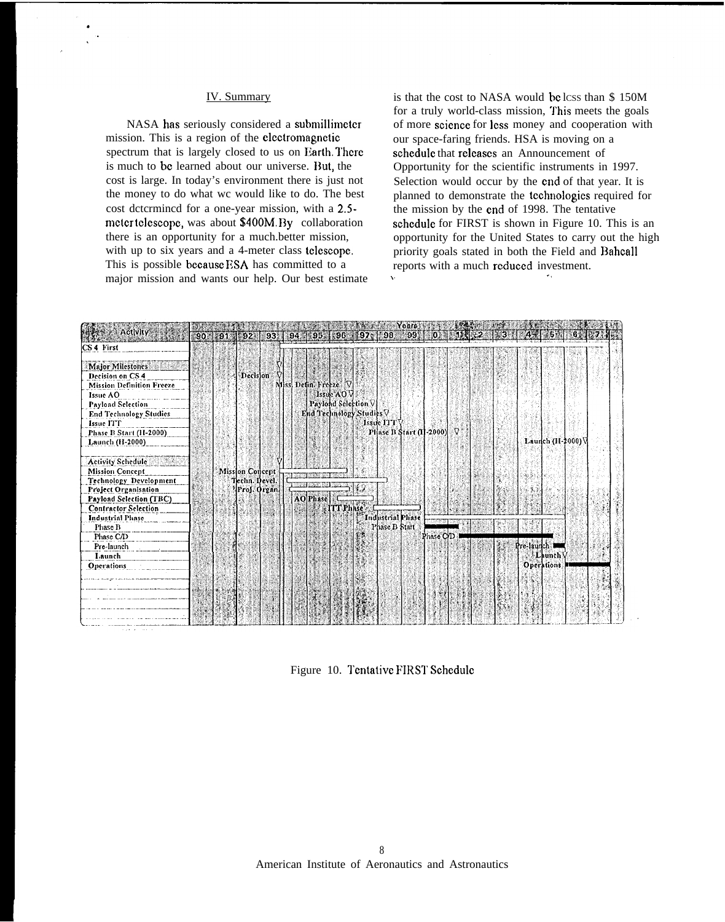### IV. Summary

ù.

NASA has seriously considered a submillimctcr mission. This is a region of the clcctromagnctic spectrum that is largely closed to us on Earth. There is much to be learned about our universe. But, the cost is large. In today's environment there is just not the money to do what wc would like to do. The best cost dctcrmincd for a one-year mission, with a 2.5 mcter telescope, was about \$400M. By collaboration there is an opportunity for a much.better mission, with up to six years and a 4-meter class telescope. This is possible because ESA has committed to a major mission and wants our help. Our best estimate

is that the cost to NASA would be lcss than \$150M for a truly world-class mission, This meets the goals of more science for less money and cooperation with our space-faring friends. HSA is moving on a schedule that releases an Announcement of Opportunity for the scientific instruments in 1997. Selection would occur by the cnd of that year. It is planned to demonstrate the tcchno]ogics required for the mission by the cnd of 1998. The tentative schedule for FIRST is shown in Figure 10. This is an opportunity for the United States to carry out the high priority goals stated in both the Field and Bahcall reports with a much rcduccd investment. ,. .,



Figure 10. Tentative FIRST Schedule